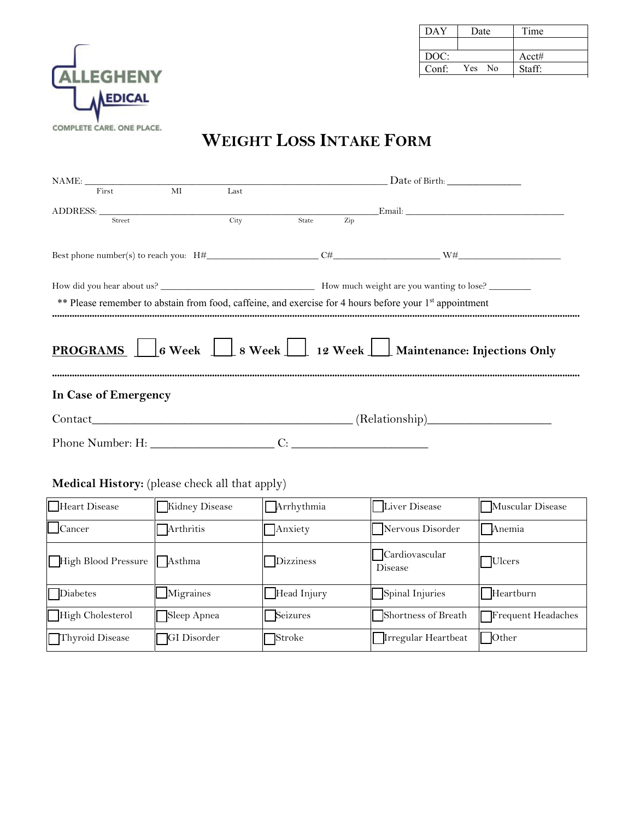

| DAY   | Date        | Time   |
|-------|-------------|--------|
|       |             |        |
| DOC:  |             | Acct#  |
| Conf: | Yes<br>- No | Staff: |

# **WEIGHT LOSS INTAKE FORM**

|                      |  |  |    |  | ADDRESS: Email: Email: Email: Email: Email: Email: Email: Email: Email: Email: Email: Email: Email: Email: Email: Email: Email: Email: Email: Email: Email: Email: Email: Email: Email: Email: Email: Email: Email: Email: Ema |
|----------------------|--|--|----|--|--------------------------------------------------------------------------------------------------------------------------------------------------------------------------------------------------------------------------------|
|                      |  |  |    |  |                                                                                                                                                                                                                                |
|                      |  |  |    |  |                                                                                                                                                                                                                                |
|                      |  |  |    |  |                                                                                                                                                                                                                                |
|                      |  |  |    |  | ** Please remember to abstain from food, caffeine, and exercise for 4 hours before your 1st appointment                                                                                                                        |
|                      |  |  |    |  | <b>PROGRAMS</b> 6 Week 8 Week 12 Week Maintenance: Injections Only                                                                                                                                                             |
| In Case of Emergency |  |  |    |  |                                                                                                                                                                                                                                |
|                      |  |  |    |  |                                                                                                                                                                                                                                |
| Phone Number: H:     |  |  | C: |  |                                                                                                                                                                                                                                |

## **Medical History:** (please check all that apply)

| Heart Disease           | Kidney Disease     | Arrhythmia  | Liver Disease             | Muscular Disease   |
|-------------------------|--------------------|-------------|---------------------------|--------------------|
| $\vert$ Cancer          | Arthritis          | Anxiety     | Nervous Disorder          | Anemia             |
| High Blood Pressure     | Asthma             | Dizziness   | Cardiovascular<br>Disease | $\Box$ Ulcers      |
| <b>Diabetes</b>         | Migraines          | Head Injury | Spinal Injuries           | $\Box$ Heartburn   |
| <b>High Cholesterol</b> | Sleep Apnea        | Seizures    | Shortness of Breath       | Frequent Headaches |
| Thyroid Disease         | <b>GI</b> Disorder | ¶Stroke     | Irregular Heartbeat       | $\parallel$ Other  |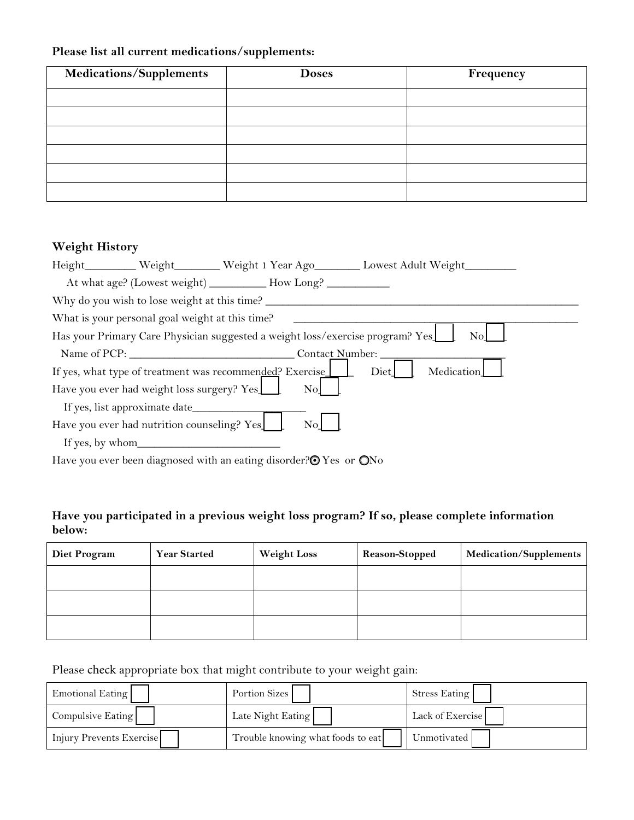## **Please list all current medications/supplements:**

| <b>Medications/Supplements</b> | <b>Doses</b> | Frequency |
|--------------------------------|--------------|-----------|
|                                |              |           |
|                                |              |           |
|                                |              |           |
|                                |              |           |
|                                |              |           |
|                                |              |           |

## **Weight History**

|                  |                                                                                                                    |                                                                               | Height_________Weight_______Weight 1 Year Ago________ Lowest Adult Weight________ |  |
|------------------|--------------------------------------------------------------------------------------------------------------------|-------------------------------------------------------------------------------|-----------------------------------------------------------------------------------|--|
|                  |                                                                                                                    | At what age? (Lowest weight) _________ How Long? _________                    |                                                                                   |  |
|                  |                                                                                                                    |                                                                               |                                                                                   |  |
|                  | What is your personal goal weight at this time?                                                                    |                                                                               |                                                                                   |  |
|                  |                                                                                                                    | Has your Primary Care Physician suggested a weight loss/exercise program? Yes | No                                                                                |  |
|                  | Name of PCP:                                                                                                       | Contact Number:                                                               |                                                                                   |  |
|                  |                                                                                                                    | If yes, what type of treatment was recommended? Exercise                      | Medication<br>Diet                                                                |  |
|                  | Have you ever had weight loss surgery? Yes                                                                         | N <sub>o</sub>                                                                |                                                                                   |  |
|                  |                                                                                                                    |                                                                               |                                                                                   |  |
|                  | Have you ever had nutrition counseling? Yes                                                                        | $\rm No$                                                                      |                                                                                   |  |
| If yes, by whom_ |                                                                                                                    |                                                                               |                                                                                   |  |
|                  | records and the second contract of the second contract of the second contract of the second contract of the second |                                                                               |                                                                                   |  |

Have you ever been diagnosed with an eating disorder?<sup>O</sup> Yes or ONo

## **Have you participated in a previous weight loss program? If so, please complete information below:**

| <b>Diet Program</b> | <b>Year Started</b> | <b>Weight Loss</b> | <b>Reason-Stopped</b> | Medication/Supplements |
|---------------------|---------------------|--------------------|-----------------------|------------------------|
|                     |                     |                    |                       |                        |
|                     |                     |                    |                       |                        |
|                     |                     |                    |                       |                        |

## Please check appropriate box that might contribute to your weight gain:

| Emotional Eating         | Portion Sizes                     | Stress Eating    |
|--------------------------|-----------------------------------|------------------|
| Compulsive Eating        | Late Night Eating                 | Lack of Exercise |
| Injury Prevents Exercise | Trouble knowing what foods to eat | Unmotivated      |